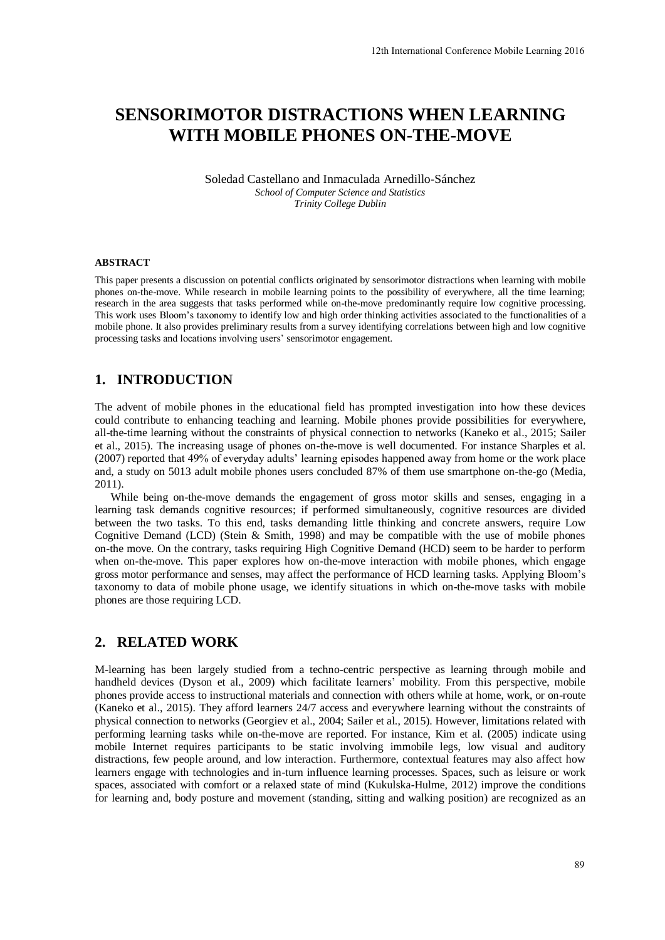# **SENSORIMOTOR DISTRACTIONS WHEN LEARNING WITH MOBILE PHONES ON-THE-MOVE**

Soledad Castellano and Inmaculada Arnedillo-Sánchez *School of Computer Science and Statistics Trinity College Dublin* 

#### **ABSTRACT**

This paper presents a discussion on potential conflicts originated by sensorimotor distractions when learning with mobile phones on-the-move. While research in mobile learning points to the possibility of everywhere, all the time learning; research in the area suggests that tasks performed while on-the-move predominantly require low cognitive processing. This work uses Bloom's taxonomy to identify low and high order thinking activities associated to the functionalities of a mobile phone. It also provides preliminary results from a survey identifying correlations between high and low cognitive processing tasks and locations involving users' sensorimotor engagement.

#### **1. INTRODUCTION**

The advent of mobile phones in the educational field has prompted investigation into how these devices could contribute to enhancing teaching and learning. Mobile phones provide possibilities for everywhere, all-the-time learning without the constraints of physical connection to networks (Kaneko et al., 2015; Sailer et al., 2015). The increasing usage of phones on-the-move is well documented. For instance Sharples et al. (2007) reported that 49% of everyday adults' learning episodes happened away from home or the work place and, a study on 5013 adult mobile phones users concluded 87% of them use smartphone on-the-go (Media, 2011).

While being on-the-move demands the engagement of gross motor skills and senses, engaging in a learning task demands cognitive resources; if performed simultaneously, cognitive resources are divided between the two tasks. To this end, tasks demanding little thinking and concrete answers, require Low Cognitive Demand (LCD) (Stein & Smith, 1998) and may be compatible with the use of mobile phones on-the move. On the contrary, tasks requiring High Cognitive Demand (HCD) seem to be harder to perform when on-the-move. This paper explores how on-the-move interaction with mobile phones, which engage gross motor performance and senses, may affect the performance of HCD learning tasks. Applying Bloom's taxonomy to data of mobile phone usage, we identify situations in which on-the-move tasks with mobile phones are those requiring LCD.

### **2. RELATED WORK**

M-learning has been largely studied from a techno-centric perspective as learning through mobile and handheld devices (Dyson et al., 2009) which facilitate learners' mobility. From this perspective, mobile phones provide access to instructional materials and connection with others while at home, work, or on-route (Kaneko et al., 2015). They afford learners 24/7 access and everywhere learning without the constraints of physical connection to networks (Georgiev et al., 2004; Sailer et al., 2015). However, limitations related with performing learning tasks while on-the-move are reported. For instance, Kim et al. (2005) indicate using mobile Internet requires participants to be static involving immobile legs, low visual and auditory distractions, few people around, and low interaction. Furthermore, contextual features may also affect how learners engage with technologies and in-turn influence learning processes. Spaces, such as leisure or work spaces, associated with comfort or a relaxed state of mind (Kukulska-Hulme, 2012) improve the conditions for learning and, body posture and movement (standing, sitting and walking position) are recognized as an 12th International Conference Mobile Learning 2016<br> **ONS WHEN LEARNING**<br> **SON-THE-MOVE**<br> **SON-THE-MOVE**<br> **Example 12th COVE**<br> **Example 12th COVE**<br> **Example 12th Conference And Solutions Solution**<br> **Example 12th Conference**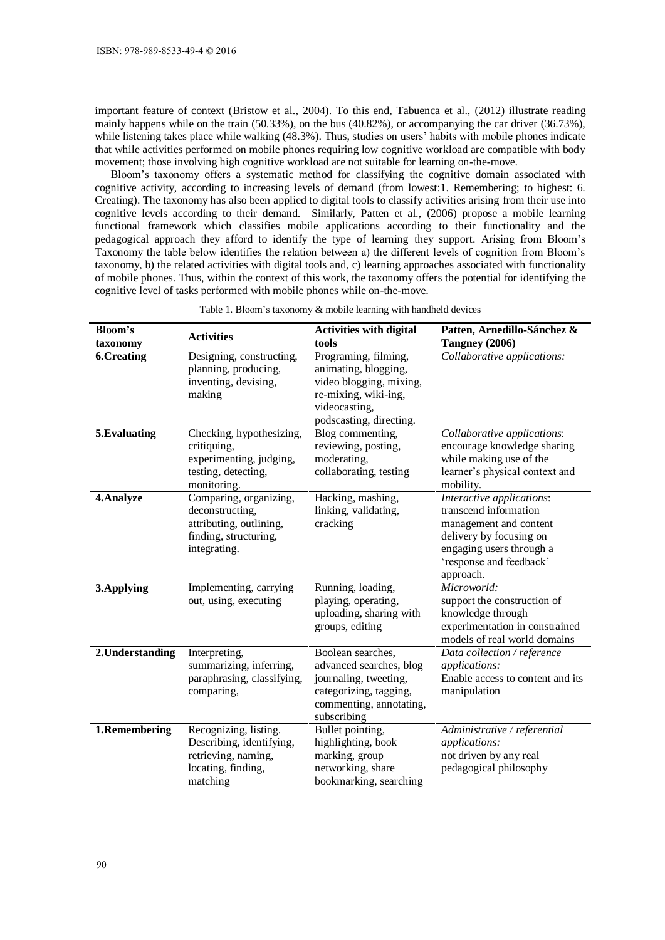important feature of context (Bristow et al., 2004). To this end, Tabuenca et al., (2012) illustrate reading mainly happens while on the train (50.33%), on the bus (40.82%), or accompanying the car driver (36.73%), while listening takes place while walking (48.3%). Thus, studies on users' habits with mobile phones indicate that while activities performed on mobile phones requiring low cognitive workload are compatible with body movement; those involving high cognitive workload are not suitable for learning on-the-move.

Bloom's taxonomy offers a systematic method for classifying the cognitive domain associated with cognitive activity, according to increasing levels of demand (from lowest:1. Remembering; to highest: 6. Creating). The taxonomy has also been applied to digital tools to classify activities arising from their use into cognitive levels according to their demand. Similarly, Patten et al., (2006) propose a mobile learning functional framework which classifies mobile applications according to their functionality and the pedagogical approach they afford to identify the type of learning they support. Arising from Bloom's Taxonomy the table below identifies the relation between a) the different levels of cognition from Bloom's taxonomy, b) the related activities with digital tools and, c) learning approaches associated with functionality of mobile phones. Thus, within the context of this work, the taxonomy offers the potential for identifying the cognitive level of tasks performed with mobile phones while on-the-move.

| Bloom's                       | <b>Activities</b>                                                                                             | <b>Activities with digital</b>                                                                                                            | Patten, Arnedillo-Sánchez &                                                                                                                                                 |  |
|-------------------------------|---------------------------------------------------------------------------------------------------------------|-------------------------------------------------------------------------------------------------------------------------------------------|-----------------------------------------------------------------------------------------------------------------------------------------------------------------------------|--|
| taxonomy<br><b>6.Creating</b> | Designing, constructing,                                                                                      | tools<br>Programing, filming,                                                                                                             | Tangney (2006)<br>Collaborative applications:                                                                                                                               |  |
|                               | planning, producing,<br>inventing, devising,<br>making                                                        | animating, blogging,<br>video blogging, mixing,<br>re-mixing, wiki-ing,<br>videocasting,<br>podscasting, directing.                       |                                                                                                                                                                             |  |
| 5. Evaluating                 | Checking, hypothesizing,<br>critiquing,<br>experimenting, judging,<br>testing, detecting,<br>monitoring.      | Blog commenting,<br>reviewing, posting,<br>moderating,<br>collaborating, testing                                                          | Collaborative applications:<br>encourage knowledge sharing<br>while making use of the<br>learner's physical context and<br>mobility.                                        |  |
| 4. Analyze                    | Comparing, organizing,<br>deconstructing,<br>attributing, outlining,<br>finding, structuring,<br>integrating. | Hacking, mashing,<br>linking, validating,<br>cracking                                                                                     | Interactive applications:<br>transcend information<br>management and content<br>delivery by focusing on<br>engaging users through a<br>'response and feedback'<br>approach. |  |
| 3. Applying                   | Implementing, carrying<br>out, using, executing                                                               | Running, loading,<br>playing, operating,<br>uploading, sharing with<br>groups, editing                                                    | Microworld:<br>support the construction of<br>knowledge through<br>experimentation in constrained<br>models of real world domains                                           |  |
| 2. Understanding              | Interpreting,<br>summarizing, inferring,<br>paraphrasing, classifying,<br>comparing,                          | Boolean searches,<br>advanced searches, blog<br>journaling, tweeting,<br>categorizing, tagging,<br>commenting, annotating,<br>subscribing | Data collection / reference<br>applications:<br>Enable access to content and its<br>manipulation                                                                            |  |
| 1.Remembering                 | Recognizing, listing.<br>Describing, identifying,<br>retrieving, naming,<br>locating, finding,<br>matching    | Bullet pointing,<br>highlighting, book<br>marking, group<br>networking, share<br>bookmarking, searching                                   | Administrative / referential<br>applications:<br>not driven by any real<br>pedagogical philosophy                                                                           |  |

Table 1. Bloom's taxonomy & mobile learning with handheld devices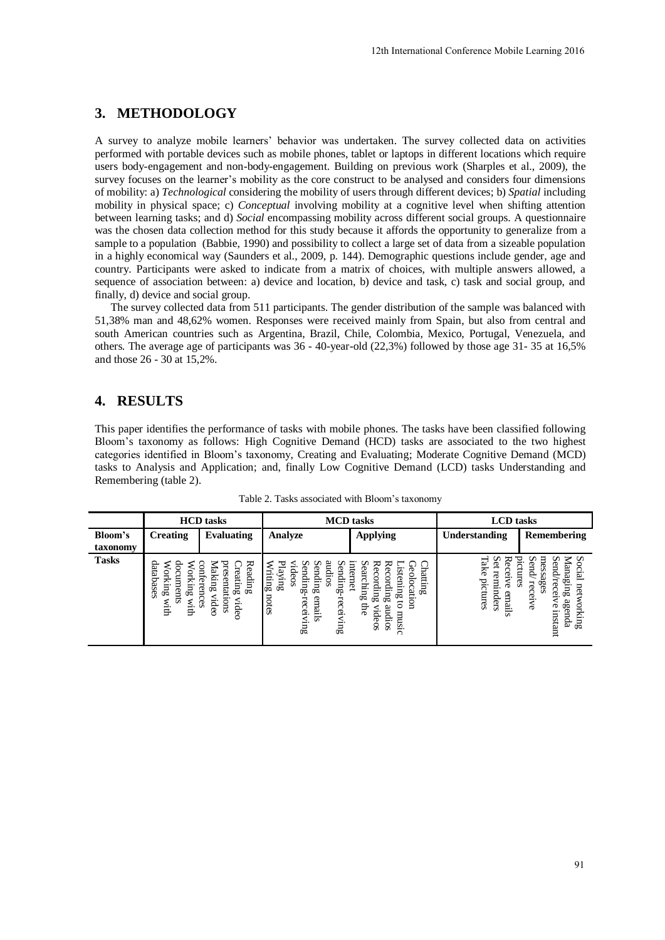# **3. METHODOLOGY**

A survey to analyze mobile learners' behavior was undertaken. The survey collected data on activities performed with portable devices such as mobile phones, tablet or laptops in different locations which require users body-engagement and non-body-engagement. Building on previous work (Sharples et al., 2009), the survey focuses on the learner's mobility as the core construct to be analysed and considers four dimensions of mobility: a) *Technological* considering the mobility of users through different devices; b) *Spatial* including mobility in physical space; c) *Conceptual* involving mobility at a cognitive level when shifting attention between learning tasks; and d) *Social* encompassing mobility across different social groups. A questionnaire was the chosen data collection method for this study because it affords the opportunity to generalize from a sample to a population (Babbie, 1990) and possibility to collect a large set of data from a sizeable population in a highly economical way (Saunders et al., 2009, p. 144). Demographic questions include gender, age and country. Participants were asked to indicate from a matrix of choices, with multiple answers allowed, a sequence of association between: a) device and location, b) device and task, c) task and social group, and finally, d) device and social group. 12th International Conference Mobile Learning 2016<br>
alsem. The survey collected data on activities<br>
of the arguments of the distribution of the control internation<br>
to the nanlysed and considers four dimensions through th

The survey collected data from 511 participants. The gender distribution of the sample was balanced with 51,38% man and 48,62% women. Responses were received mainly from Spain, but also from central and south American countries such as Argentina, Brazil, Chile, Colombia, Mexico, Portugal, Venezuela, and others. The average age of participants was 36 - 40-year-old (22,3%) followed by those age 31- 35 at 16,5% and those 26 - 30 at 15,2%.

### **4. RESULTS**

This paper identifies the performance of tasks with mobile phones. The tasks have been classified following Bloom's taxonomy as follows: High Cognitive Demand (HCD) tasks are associated to the two highest categories identified in Bloom's taxonomy, Creating and Evaluating; Moderate Cognitive Demand (MCD) tasks to Analysis and Application; and, finally Low Cognitive Demand (LCD) tasks Understanding and Remembering (table 2).

|                     | <b>HCD</b> tasks                                                   |                                                                                               | <b>MCD</b> tasks                                                                                                                                |                                                                                                                                                                        | <b>LCD</b> tasks                                                         |                                                                                                                                                      |
|---------------------|--------------------------------------------------------------------|-----------------------------------------------------------------------------------------------|-------------------------------------------------------------------------------------------------------------------------------------------------|------------------------------------------------------------------------------------------------------------------------------------------------------------------------|--------------------------------------------------------------------------|------------------------------------------------------------------------------------------------------------------------------------------------------|
| Bloom's<br>taxonomy | <b>Creating</b>                                                    | <b>Evaluating</b>                                                                             | <b>Analyze</b>                                                                                                                                  | <b>Applying</b>                                                                                                                                                        | Understanding                                                            | Remembering                                                                                                                                          |
| <b>Tasks</b>        | databases<br>ork<br>orking<br>Ê<br>≕<br>Jρ<br>ents<br>шю<br>:<br>₿ | pres<br>Reading<br>Creat<br><b>Jaking</b><br>nferen<br>entations<br>щg<br>ideo<br>C3<br>rideo | ℸ<br>⋦<br>pr<br>ទ<br>≘<br>5<br>deos<br>⊐<br>umur<br>ding<br>ding<br>iting<br>ᇡ<br>ÚΦ<br>notes<br>emails<br>receivin<br>∺<br>eceivin<br>σō<br>σō | ≂<br>Chatting<br>Re<br>щe<br>Ear<br>Φ<br>ste<br>Ö<br>č<br>met<br>n<br>ocation<br>$3 \mu m$<br>ding<br>$\mathbb{E}$<br>img<br>ఠ<br>Ę<br>audios<br><b>Ideos</b><br>music | ⊣<br>∽<br>ᆽ<br>axe<br>⊣<br>ನ<br>₫<br>prctures<br>minders<br>ര്<br>emails | ∽<br>ਦੁ<br>员<br>∽<br>⇁<br>∽<br>end<br>ന<br>lanagın<br>ິ<br>Ë<br>Ë<br>ages<br>rec<br>5<br>R<br>cerve<br>₾<br>ήō<br>ß<br>orking<br>o<br>enda<br>nstant |

Table 2. Tasks associated with Bloom's taxonomy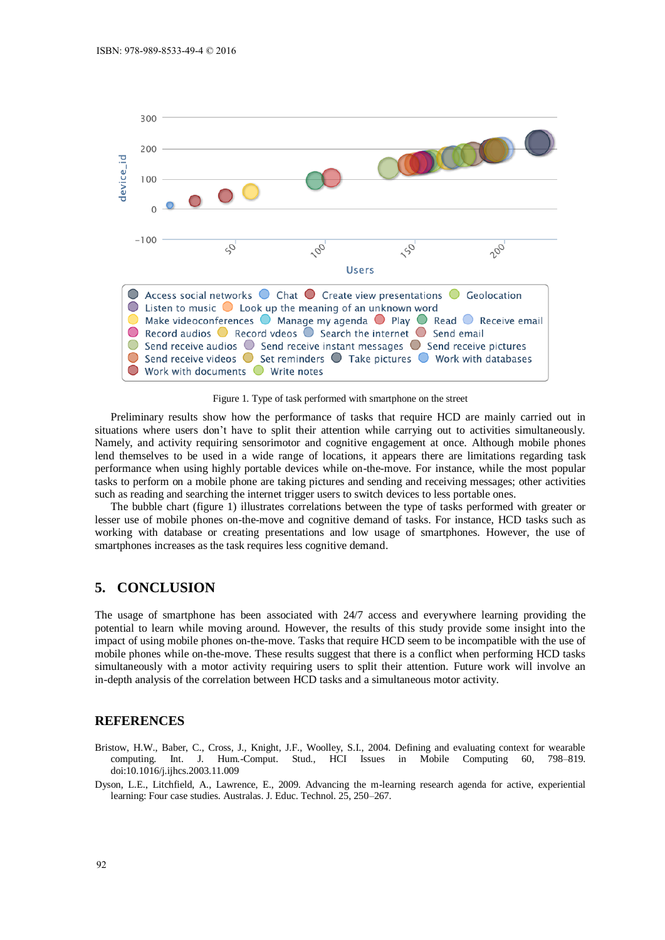

Figure 1. Type of task performed with smartphone on the street

Preliminary results show how the performance of tasks that require HCD are mainly carried out in situations where users don't have to split their attention while carrying out to activities simultaneously. Namely, and activity requiring sensorimotor and cognitive engagement at once. Although mobile phones lend themselves to be used in a wide range of locations, it appears there are limitations regarding task performance when using highly portable devices while on-the-move. For instance, while the most popular tasks to perform on a mobile phone are taking pictures and sending and receiving messages; other activities such as reading and searching the internet trigger users to switch devices to less portable ones.

The bubble chart (figure 1) illustrates correlations between the type of tasks performed with greater or lesser use of mobile phones on-the-move and cognitive demand of tasks. For instance, HCD tasks such as working with database or creating presentations and low usage of smartphones. However, the use of smartphones increases as the task requires less cognitive demand.

## **5. CONCLUSION**

The usage of smartphone has been associated with 24/7 access and everywhere learning providing the potential to learn while moving around. However, the results of this study provide some insight into the impact of using mobile phones on-the-move. Tasks that require HCD seem to be incompatible with the use of mobile phones while on-the-move. These results suggest that there is a conflict when performing HCD tasks simultaneously with a motor activity requiring users to split their attention. Future work will involve an in-depth analysis of the correlation between HCD tasks and a simultaneous motor activity.

#### **REFERENCES**

- Bristow, H.W., Baber, C., Cross, J., Knight, J.F., Woolley, S.I., 2004. Defining and evaluating context for wearable computing. Int. J. Hum.-Comput. Stud., HCI Issues in Mobile Computing 60, 798–819. doi:10.1016/j.ijhcs.2003.11.009
- Dyson, L.E., Litchfield, A., Lawrence, E., 2009. Advancing the m-learning research agenda for active, experiential learning: Four case studies. Australas. J. Educ. Technol. 25, 250–267.